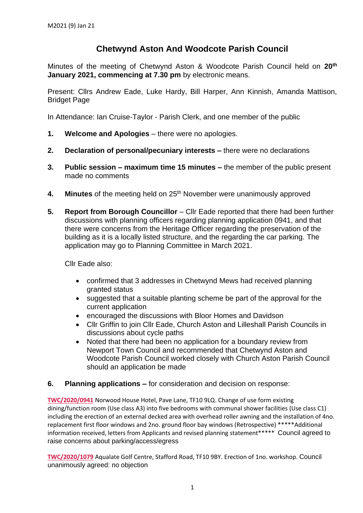## **Chetwynd Aston And Woodcote Parish Council**

Minutes of the meeting of Chetwynd Aston & Woodcote Parish Council held on **20 th January 2021, commencing at 7.30 pm** by electronic means.

Present: Cllrs Andrew Eade, Luke Hardy, Bill Harper, Ann Kinnish, Amanda Mattison, Bridget Page

In Attendance: Ian Cruise-Taylor - Parish Clerk, and one member of the public

- **1. Welcome and Apologies** there were no apologies.
- **2. Declaration of personal/pecuniary interests –** there were no declarations
- **3. Public session – maximum time 15 minutes –** the member of the public present made no comments
- **4. Minutes** of the meeting held on 25<sup>th</sup> November were unanimously approved
- **5. Report from Borough Councillor** Cllr Eade reported that there had been further discussions with planning officers regarding planning application 0941, and that there were concerns from the Heritage Officer regarding the preservation of the building as it is a locally listed structure, and the regarding the car parking. The application may go to Planning Committee in March 2021.

Cllr Eade also:

- confirmed that 3 addresses in Chetwynd Mews had received planning granted status
- suggested that a suitable planting scheme be part of the approval for the current application
- encouraged the discussions with Bloor Homes and Davidson
- Cllr Griffin to join Cllr Eade, Church Aston and Lilleshall Parish Councils in discussions about cycle paths
- Noted that there had been no application for a boundary review from Newport Town Council and recommended that Chetwynd Aston and Woodcote Parish Council worked closely with Church Aston Parish Council should an application be made
- **6. Planning applications –** for consideration and decision on response:

**[TWC/2020/0941](https://secure.telford.gov.uk/planning/pa-standardconsultee.aspx?ApplicationID=122699&ApplicationNumber=TWC/2020/0941&AppLetterID=814931)** Norwood House Hotel, Pave Lane, TF10 9LQ. Change of use form existing dining/function room (Use class A3) into five bedrooms with communal shower facilities (Use class C1) including the erection of an external decked area with overhead roller awning and the installation of 4no. replacement first floor windows and 2no. ground floor bay windows (Retrospective) \*\*\*\*\*Additional information received, letters from Applicants and revised planning statement\*\*\*\*\* Council agreed to raise concerns about parking/access/egress

**[TWC/2020/1079](https://secure.telford.gov.uk/planning/pa-standardconsultee.aspx?ApplicationID=123145&ApplicationNumber=TWC/2020/1079&AppLetterID=814189)** Aqualate Golf Centre, Stafford Road, TF10 9BY. Erection of 1no. workshop. Council unanimously agreed: no objection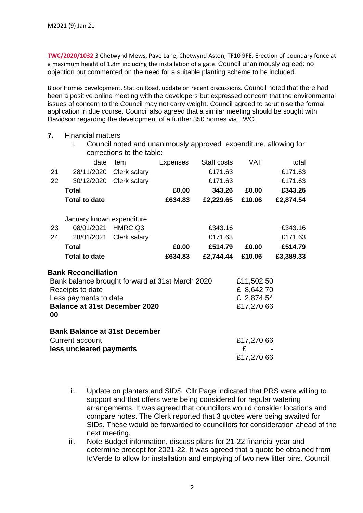**7.** Financial matters

**[TWC/2020/1032](https://secure.telford.gov.uk/planning/pa-standardconsultee.aspx?ApplicationID=123071&ApplicationNumber=TWC/2020/1032&AppLetterID=812924)** 3 Chetwynd Mews, Pave Lane, Chetwynd Aston, TF10 9FE. Erection of boundary fence at a maximum height of 1.8m including the installation of a gate. Council unanimously agreed: no objection but commented on the need for a suitable planting scheme to be included.

Bloor Homes development, Station Road, update on recent discussions. Council noted that there had been a positive online meeting with the developers but expressed concern that the environmental issues of concern to the Council may not carry weight. Council agreed to scrutinise the formal application in due course. Council also agreed that a similar meeting should be sought with Davidson regarding the development of a further 350 homes via TWC.

|                                                                                                                                                                          | i.                        | Council noted and unanimously approved expenditure, allowing for<br>corrections to the table: |          |             |                                                      |           |
|--------------------------------------------------------------------------------------------------------------------------------------------------------------------------|---------------------------|-----------------------------------------------------------------------------------------------|----------|-------------|------------------------------------------------------|-----------|
|                                                                                                                                                                          | date                      | item                                                                                          | Expenses | Staff costs | <b>VAT</b>                                           | total     |
| 21                                                                                                                                                                       | 28/11/2020                | Clerk salary                                                                                  |          | £171.63     |                                                      | £171.63   |
| 22                                                                                                                                                                       | 30/12/2020                | Clerk salary                                                                                  |          | £171.63     |                                                      | £171.63   |
|                                                                                                                                                                          | <b>Total</b>              |                                                                                               | £0.00    | 343.26      | £0.00                                                | £343.26   |
|                                                                                                                                                                          | <b>Total to date</b>      |                                                                                               | £634.83  | £2,229.65   | £10.06                                               | £2,874.54 |
|                                                                                                                                                                          | January known expenditure |                                                                                               |          |             |                                                      |           |
| 23                                                                                                                                                                       | 08/01/2021                | HMRC Q3                                                                                       |          | £343.16     |                                                      | £343.16   |
| 24                                                                                                                                                                       | 28/01/2021                | Clerk salary                                                                                  |          | £171.63     |                                                      | £171.63   |
|                                                                                                                                                                          | Total                     |                                                                                               | £0.00    | £514.79     | £0.00                                                | £514.79   |
|                                                                                                                                                                          | <b>Total to date</b>      |                                                                                               | £634.83  | £2,744.44   | £10.06                                               | £3,389.33 |
| <b>Bank Reconciliation</b><br>Bank balance brought forward at 31st March 2020<br>Receipts to date<br>Less payments to date<br><b>Balance at 31st December 2020</b><br>00 |                           |                                                                                               |          |             | £11,502.50<br>£ 8,642.70<br>£ 2,874.54<br>£17,270.66 |           |
| <b>Bank Balance at 31st December</b><br><b>Current account</b><br>less uncleared payments                                                                                |                           |                                                                                               |          |             | £17,270.66<br>£<br>£17,270.66                        |           |

- ii. Update on planters and SIDS: Cllr Page indicated that PRS were willing to support and that offers were being considered for regular watering arrangements. It was agreed that councillors would consider locations and compare notes. The Clerk reported that 3 quotes were being awaited for SIDs. These would be forwarded to councillors for consideration ahead of the next meeting.
- iii. Note Budget information, discuss plans for 21-22 financial year and determine precept for 2021-22. It was agreed that a quote be obtained from IdVerde to allow for installation and emptying of two new litter bins. Council